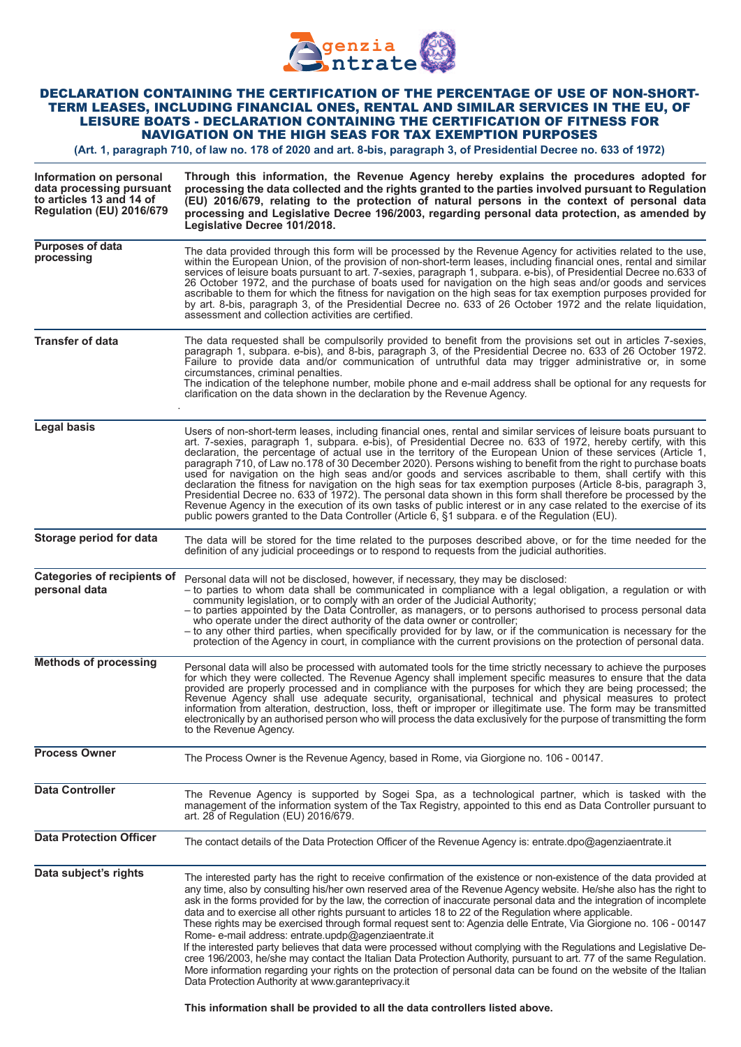

## DECLARATION CONTAINING THE CERTIFICATION OF THE PERCENTAGE OF USE OF NON-SHORT-TERM LEASES, INCLUDING FINANCIAL ONES, RENTAL AND SIMILAR SERVICES IN THE EU, OF LEISURE BOATS - DECLARATION CONTAINING THE CERTIFICATION OF FITNESS FOR NAVIGATION ON THE HIGH SEAS FOR TAX EXEMPTION PURPOSES

**(Art. 1, paragraph 710, of law no. 178 of 2020 and art. 8-bis, paragraph 3, of Presidential Decree no. 633 of 1972)**

| Information on personal<br>data processing pursuant<br>to articles 13 and 14 of<br>Regulation (EU) 2016/679 | Through this information, the Revenue Agency hereby explains the procedures adopted for<br>processing the data collected and the rights granted to the parties involved pursuant to Regulation<br>(EU) 2016/679, relating to the protection of natural persons in the context of personal data<br>processing and Legislative Decree 196/2003, regarding personal data protection, as amended by<br>Legislative Decree 101/2018.                                                                                                                                                                                                                                                                                                                                                                                                                                                                                                                                                                                                                                                             |
|-------------------------------------------------------------------------------------------------------------|---------------------------------------------------------------------------------------------------------------------------------------------------------------------------------------------------------------------------------------------------------------------------------------------------------------------------------------------------------------------------------------------------------------------------------------------------------------------------------------------------------------------------------------------------------------------------------------------------------------------------------------------------------------------------------------------------------------------------------------------------------------------------------------------------------------------------------------------------------------------------------------------------------------------------------------------------------------------------------------------------------------------------------------------------------------------------------------------|
| <b>Purposes of data</b><br>processing                                                                       | The data provided through this form will be processed by the Revenue Agency for activities related to the use,<br>within the European Union, of the provision of non-short-term leases, including financial ones, rental and similar<br>services of leisure boats pursuant to art. 7-sexies, paragraph 1, subpara. e-bis), of Presidential Decree no.633 of<br>26 October 1972, and the purchase of boats used for navigation on the high seas and/or goods and services<br>ascribable to them for which the fitness for navigation on the high seas for tax exemption purposes provided for<br>by art. 8-bis, paragraph 3, of the Presidential Decree no. 633 of 26 October 1972 and the relate liquidation,<br>assessment and collection activities are certified.                                                                                                                                                                                                                                                                                                                        |
| <b>Transfer of data</b>                                                                                     | The data requested shall be compulsorily provided to benefit from the provisions set out in articles 7-sexies,<br>paragraph 1, subpara. e-bis), and 8-bis, paragraph 3, of the Presidential Decree no. 633 of 26 October 1972.<br>Failure to provide data and/or communication of untruthful data may trigger administrative or, in some<br>circumstances, criminal penalties.<br>The indication of the telephone number, mobile phone and e-mail address shall be optional for any requests for<br>clarification on the data shown in the declaration by the Revenue Agency.                                                                                                                                                                                                                                                                                                                                                                                                                                                                                                               |
| <b>Legal basis</b>                                                                                          | Users of non-short-term leases, including financial ones, rental and similar services of leisure boats pursuant to<br>art. 7-sexies, paragraph 1, subpara. e-bis), of Presidential Decree no. 633 of 1972, hereby certify, with this<br>declaration, the percentage of actual use in the territory of the European Union of these services (Article 1,<br>paragraph 710, of Law no.178 of 30 December 2020). Persons wishing to benefit from the right to purchase boats<br>used for navigation on the high seas and/or goods and services ascribable to them, shall certify with this<br>declaration the fitness for navigation on the high seas for tax exemption purposes (Article 8-bis, paragraph 3,<br>Presidential Decree no. 633 of 1972). The personal data shown in this form shall therefore be processed by the<br>Revenue Agency in the execution of its own tasks of public interest or in any case related to the exercise of its<br>public powers granted to the Data Controller (Article 6, §1 subpara. e of the Regulation (EU).                                          |
| Storage period for data                                                                                     | The data will be stored for the time related to the purposes described above, or for the time needed for the<br>definition of any judicial proceedings or to respond to requests from the judicial authorities.                                                                                                                                                                                                                                                                                                                                                                                                                                                                                                                                                                                                                                                                                                                                                                                                                                                                             |
| <b>Categories of recipients of</b><br>personal data                                                         | Personal data will not be disclosed, however, if necessary, they may be disclosed:<br>- to parties to whom data shall be communicated in compliance with a legal obligation, a regulation or with<br>community legislation, or to comply with an order of the Judicial Authority;<br>- to parties appointed by the Data Controller, as managers, or to persons authorised to process personal data<br>who operate under the direct authority of the data owner or controller;<br>- to any other third parties, when specifically provided for by law, or if the communication is necessary for the<br>protection of the Agency in court, in compliance with the current provisions on the protection of personal data.                                                                                                                                                                                                                                                                                                                                                                      |
| <b>Methods of processing</b>                                                                                | Personal data will also be processed with automated tools for the time strictly necessary to achieve the purposes<br>for which they were collected. The Revenue Agency shall implement specific measures to ensure that the data<br>provided are properly processed and in compliance with the purposes for which they are being processed; the<br>Revenue Agency shall use adequate security, organisational, technical and physical measures to protect<br>information from alteration, destruction, loss, theft or improper or illegitimate use. The form may be transmitted<br>electronically by an authorised person who will process the data exclusively for the purpose of transmitting the form<br>to the Revenue Agency.                                                                                                                                                                                                                                                                                                                                                          |
| <b>Process Owner</b>                                                                                        | The Process Owner is the Revenue Agency, based in Rome, via Giorgione no. 106 - 00147.                                                                                                                                                                                                                                                                                                                                                                                                                                                                                                                                                                                                                                                                                                                                                                                                                                                                                                                                                                                                      |
| <b>Data Controller</b>                                                                                      | The Revenue Agency is supported by Sogei Spa, as a technological partner, which is tasked with the<br>management of the information system of the Tax Registry, appointed to this end as Data Controller pursuant to<br>art. 28 of Regulation (EU) 2016/679.                                                                                                                                                                                                                                                                                                                                                                                                                                                                                                                                                                                                                                                                                                                                                                                                                                |
| <b>Data Protection Officer</b>                                                                              | The contact details of the Data Protection Officer of the Revenue Agency is: entrate.dpo@agenziaentrate.it                                                                                                                                                                                                                                                                                                                                                                                                                                                                                                                                                                                                                                                                                                                                                                                                                                                                                                                                                                                  |
| Data subject's rights                                                                                       | The interested party has the right to receive confirmation of the existence or non-existence of the data provided at<br>any time, also by consulting his/her own reserved area of the Revenue Agency website. He/she also has the right to<br>ask in the forms provided for by the law, the correction of inaccurate personal data and the integration of incomplete<br>data and to exercise all other rights pursuant to articles 18 to 22 of the Regulation where applicable.<br>These rights may be exercised through formal request sent to: Agenzia delle Entrate, Via Giorgione no. 106 - 00147<br>Rome- e-mail address: entrate.updp@agenziaentrate.it<br>If the interested party believes that data were processed without complying with the Regulations and Legislative De-<br>cree 196/2003, he/she may contact the Italian Data Protection Authority, pursuant to art. 77 of the same Regulation.<br>More information regarding your rights on the protection of personal data can be found on the website of the Italian<br>Data Protection Authority at www.garanteprivacy.it |

**This information shall be provided to all the data controllers listed above.**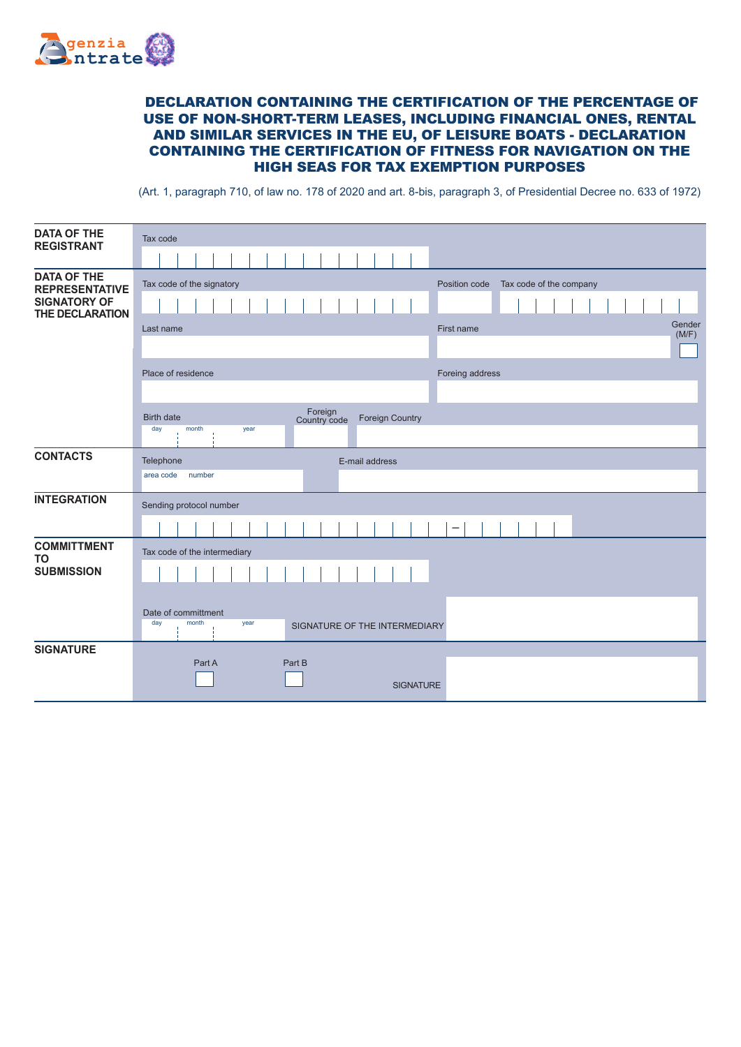

## DECLARATION CONTAINING THE CERTIFICATION OF THE PERCENTAGE OF USE OF NON-SHORT-TERM LEASES, INCLUDING FINANCIAL ONES, RENTAL AND SIMILAR SERVICES IN THE EU, OF LEISURE BOATS - DECLARATION CONTAINING THE CERTIFICATION OF FITNESS FOR NAVIGATION ON THE HIGH SEAS FOR TAX EXEMPTION PURPOSES

(Art. 1, paragraph 710, of law no. 178 of 2020 and art. 8-bis, paragraph 3, of Presidential Decree no. 633 of 1972)

| <b>DATA OF THE</b><br><b>REGISTRANT</b>     | Tax code                                                               |
|---------------------------------------------|------------------------------------------------------------------------|
|                                             |                                                                        |
| <b>DATA OF THE</b><br><b>REPRESENTATIVE</b> | Tax code of the signatory<br>Position code<br>Tax code of the company  |
| <b>SIGNATORY OF</b><br>THE DECLARATION      |                                                                        |
|                                             | Gender<br>Last name<br>First name<br>(M/F)                             |
|                                             |                                                                        |
|                                             | Place of residence<br>Foreing address                                  |
|                                             |                                                                        |
|                                             | Foreign<br>Country code<br><b>Birth date</b><br><b>Foreign Country</b> |
|                                             | day<br>month<br>year                                                   |
| <b>CONTACTS</b>                             | Telephone<br>E-mail address                                            |
|                                             | area code<br>number                                                    |
| <b>INTEGRATION</b>                          | Sending protocol number                                                |
|                                             |                                                                        |
| <b>COMMITTMENT</b><br><b>TO</b>             | Tax code of the intermediary                                           |
| <b>SUBMISSION</b>                           |                                                                        |
|                                             |                                                                        |
|                                             | Date of committment                                                    |
|                                             | day<br>month<br>year<br>SIGNATURE OF THE INTERMEDIARY                  |
| <b>SIGNATURE</b>                            | Part A<br>Part B                                                       |
|                                             |                                                                        |
|                                             | <b>SIGNATURE</b>                                                       |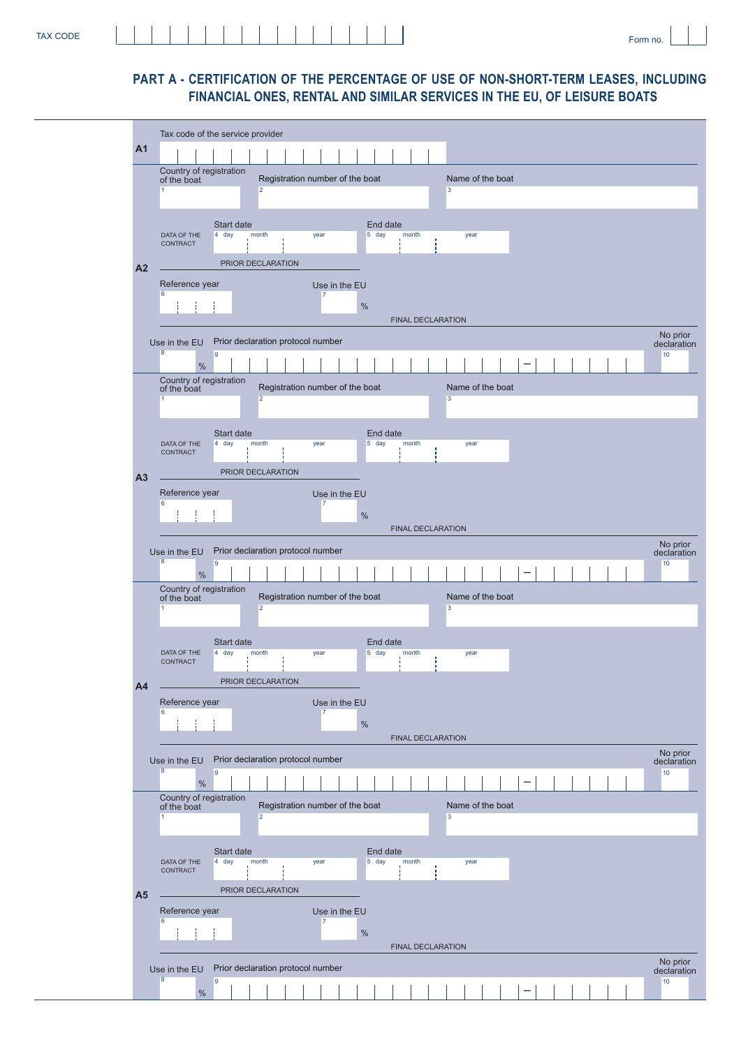## **PART A - CERTIFICATION OF THE PERCENTAGE OF USE OF NON-SHORT-TERM LEASES, INCLUDING FINANCIAL ONES, RENTAL AND SIMILAR SERVICES IN THE EU, OF LEISURE BOATS**

|                | Tax code of the service provider                                                              |                         |
|----------------|-----------------------------------------------------------------------------------------------|-------------------------|
| A <sub>1</sub> |                                                                                               |                         |
|                | Country of registration<br>Registration number of the boat<br>Name of the boat<br>of the boat |                         |
|                | $\overline{2}$<br>3                                                                           |                         |
|                | End date                                                                                      |                         |
|                | Start date<br>4 day<br>month<br>5 day<br>DATA OF THE<br>year<br>month<br>year<br>CONTRACT     |                         |
|                | PRIOR DECLARATION                                                                             |                         |
| A <sub>2</sub> | Reference year<br>Use in the EU                                                               |                         |
|                | $\overline{7}$<br>%                                                                           |                         |
|                | <b>FINAL DECLARATION</b>                                                                      |                         |
|                | Prior declaration protocol number<br>Use in the EU                                            | No prior<br>declaration |
|                | 9<br>%                                                                                        | 10                      |
|                | Country of registration<br>Registration number of the boat<br>Name of the boat<br>of the boat |                         |
|                | $\overline{2}$<br>3                                                                           |                         |
|                | End date<br>Start date                                                                        |                         |
|                | 4 day<br>5 day<br>DATA OF THE<br>month<br>year<br>month<br>year<br>CONTRACT                   |                         |
| A <sub>3</sub> | PRIOR DECLARATION                                                                             |                         |
|                | Reference year<br>Use in the EU<br>$\overline{7}$                                             |                         |
|                | %                                                                                             |                         |
|                | <b>FINAL DECLARATION</b>                                                                      | No prior                |
|                | Prior declaration protocol number<br>Use in the EU<br>9                                       | declaration<br>10       |
|                | %<br>Country of registration                                                                  |                         |
|                | Registration number of the boat<br>Name of the boat<br>of the boat<br>$\overline{2}$<br>3     |                         |
|                |                                                                                               |                         |
|                | End date<br>Start date<br>$4$ day<br>$5$ day<br>DATA OF THE<br>month<br>month<br>year<br>year |                         |
|                | CONTRACT                                                                                      |                         |
| A <sub>4</sub> | PRIOR DECLARATION<br>Reference year                                                           |                         |
|                | Use in the EU<br>$\overline{7}$<br>%                                                          |                         |
|                | <b>FINAL DECLARATION</b>                                                                      |                         |
|                | Prior declaration protocol number<br>Use in the EU                                            | No prior<br>declaration |
|                | 9<br>$\%$                                                                                     | 10                      |
|                | Country of registration<br>Registration number of the boat<br>Name of the boat<br>of the boat |                         |
|                | $\overline{2}$<br>3                                                                           |                         |
|                | Start date<br>End date                                                                        |                         |
|                | 4 day<br>month<br>5 day<br>month<br>DATA OF THE<br>year<br>year<br>CONTRACT                   |                         |
| A <sub>5</sub> | PRIOR DECLARATION                                                                             |                         |
|                | Reference year<br>Use in the EU<br>7                                                          |                         |
|                | %                                                                                             |                         |
|                | <b>FINAL DECLARATION</b>                                                                      | No prior                |
|                | Prior declaration protocol number<br>Use in the EU<br>9                                       | declaration<br>10       |
|                | $\%$                                                                                          |                         |